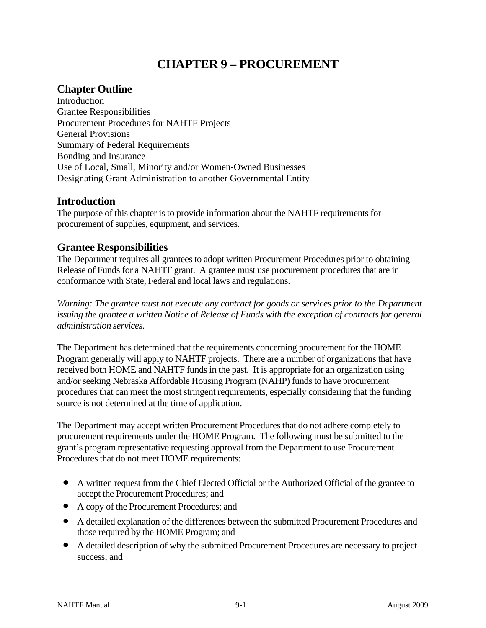# **CHAPTER 9 – PROCUREMENT**

# **Chapter Outline**

Introduction Grantee Responsibilities Procurement Procedures for NAHTF Projects General Provisions Summary of Federal Requirements Bonding and Insurance Use of Local, Small, Minority and/or Women-Owned Businesses Designating Grant Administration to another Governmental Entity

# **Introduction**

The purpose of this chapter is to provide information about the NAHTF requirements for procurement of supplies, equipment, and services.

### **Grantee Responsibilities**

The Department requires all grantees to adopt written Procurement Procedures prior to obtaining Release of Funds for a NAHTF grant. A grantee must use procurement procedures that are in conformance with State, Federal and local laws and regulations.

*Warning: The grantee must not execute any contract for goods or services prior to the Department issuing the grantee a written Notice of Release of Funds with the exception of contracts for general administration services.*

The Department has determined that the requirements concerning procurement for the HOME Program generally will apply to NAHTF projects. There are a number of organizations that have received both HOME and NAHTF funds in the past. It is appropriate for an organization using and/or seeking Nebraska Affordable Housing Program (NAHP) funds to have procurement procedures that can meet the most stringent requirements, especially considering that the funding source is not determined at the time of application.

The Department may accept written Procurement Procedures that do not adhere completely to procurement requirements under the HOME Program. The following must be submitted to the grant's program representative requesting approval from the Department to use Procurement Procedures that do not meet HOME requirements:

- A written request from the Chief Elected Official or the Authorized Official of the grantee to accept the Procurement Procedures; and
- A copy of the Procurement Procedures; and
- A detailed explanation of the differences between the submitted Procurement Procedures and those required by the HOME Program; and
- A detailed description of why the submitted Procurement Procedures are necessary to project success; and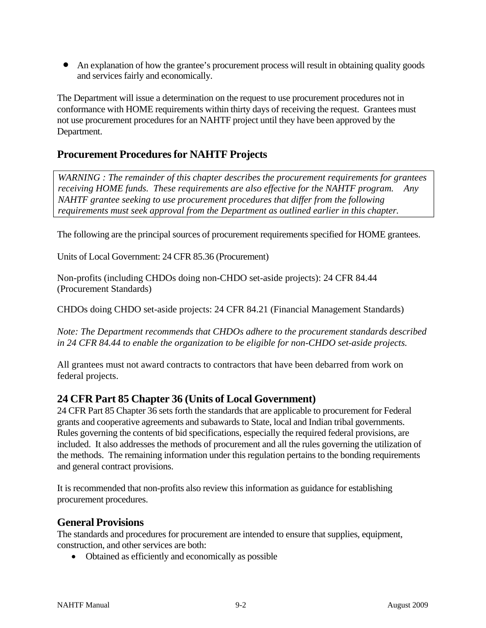An explanation of how the grantee's procurement process will result in obtaining quality goods and services fairly and economically.

The Department will issue a determination on the request to use procurement procedures not in conformance with HOME requirements within thirty days of receiving the request. Grantees must not use procurement procedures for an NAHTF project until they have been approved by the Department.

### **Procurement Procedures for NAHTF Projects**

*WARNING : The remainder of this chapter describes the procurement requirements for grantees receiving HOME funds. These requirements are also effective for the NAHTF program. Any NAHTF grantee seeking to use procurement procedures that differ from the following requirements must seek approval from the Department as outlined earlier in this chapter.*

The following are the principal sources of procurement requirements specified for HOME grantees.

Units of Local Government: 24 CFR 85.36 (Procurement)

Non-profits (including CHDOs doing non-CHDO set-aside projects): 24 CFR 84.44 (Procurement Standards)

CHDOs doing CHDO set-aside projects: 24 CFR 84.21 (Financial Management Standards)

*Note: The Department recommends that CHDOs adhere to the procurement standards described in 24 CFR 84.44 to enable the organization to be eligible for non-CHDO set-aside projects.*

All grantees must not award contracts to contractors that have been debarred from work on federal projects.

### **24 CFR Part 85 Chapter 36 (Units of Local Government)**

24 CFR Part 85 Chapter 36 sets forth the standards that are applicable to procurement for Federal grants and cooperative agreements and subawards to State, local and Indian tribal governments. Rules governing the contents of bid specifications, especially the required federal provisions, are included. It also addresses the methods of procurement and all the rules governing the utilization of the methods. The remaining information under this regulation pertains to the bonding requirements and general contract provisions.

It is recommended that non-profits also review this information as guidance for establishing procurement procedures.

### **General Provisions**

The standards and procedures for procurement are intended to ensure that supplies, equipment, construction, and other services are both:

Obtained as efficiently and economically as possible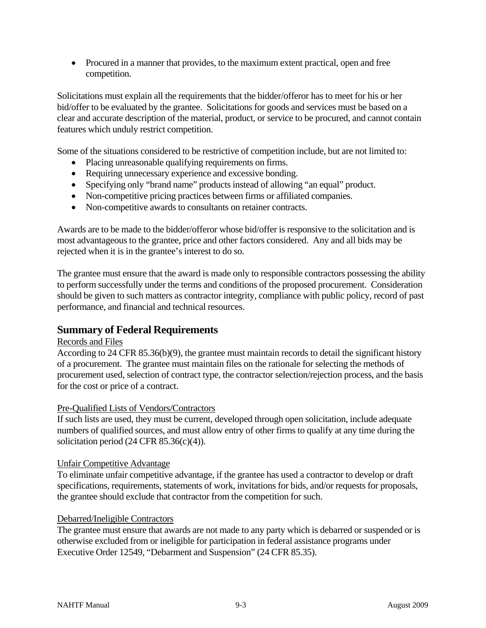Procured in a manner that provides, to the maximum extent practical, open and free competition.

Solicitations must explain all the requirements that the bidder/offeror has to meet for his or her bid/offer to be evaluated by the grantee. Solicitations for goods and services must be based on a clear and accurate description of the material, product, or service to be procured, and cannot contain features which unduly restrict competition.

Some of the situations considered to be restrictive of competition include, but are not limited to:

- Placing unreasonable qualifying requirements on firms.
- Requiring unnecessary experience and excessive bonding.
- Specifying only "brand name" products instead of allowing "an equal" product.
- Non-competitive pricing practices between firms or affiliated companies.
- Non-competitive awards to consultants on retainer contracts.

Awards are to be made to the bidder/offeror whose bid/offer is responsive to the solicitation and is most advantageous to the grantee, price and other factors considered. Any and all bids may be rejected when it is in the grantee's interest to do so.

The grantee must ensure that the award is made only to responsible contractors possessing the ability to perform successfully under the terms and conditions of the proposed procurement. Consideration should be given to such matters as contractor integrity, compliance with public policy, record of past performance, and financial and technical resources.

### **Summary of Federal Requirements**

### Records and Files

According to 24 CFR 85.36(b)(9), the grantee must maintain records to detail the significant history of a procurement. The grantee must maintain files on the rationale for selecting the methods of procurement used, selection of contract type, the contractor selection/rejection process, and the basis for the cost or price of a contract.

#### Pre-Qualified Lists of Vendors/Contractors

If such lists are used, they must be current, developed through open solicitation, include adequate numbers of qualified sources, and must allow entry of other firms to qualify at any time during the solicitation period  $(24 \text{ CFR } 85.36(c)(4))$ .

#### Unfair Competitive Advantage

To eliminate unfair competitive advantage, if the grantee has used a contractor to develop or draft specifications, requirements, statements of work, invitations for bids, and/or requests for proposals, the grantee should exclude that contractor from the competition for such.

#### Debarred/Ineligible Contractors

The grantee must ensure that awards are not made to any party which is debarred or suspended or is otherwise excluded from or ineligible for participation in federal assistance programs under Executive Order 12549, "Debarment and Suspension" (24 CFR 85.35).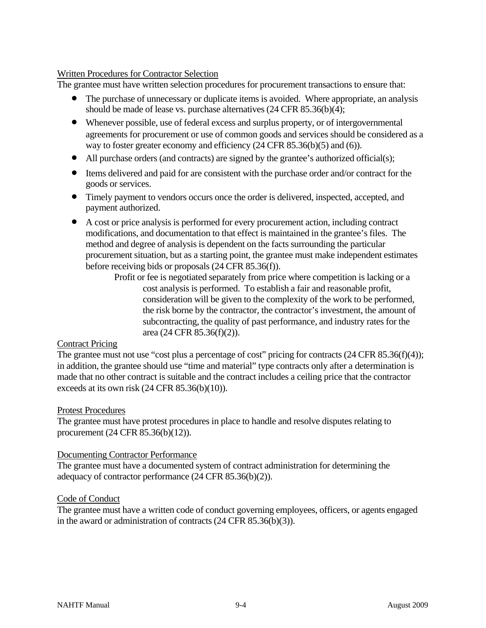#### Written Procedures for Contractor Selection

The grantee must have written selection procedures for procurement transactions to ensure that:

- The purchase of unnecessary or duplicate items is avoided. Where appropriate, an analysis should be made of lease vs. purchase alternatives (24 CFR 85.36(b)(4);
- Whenever possible, use of federal excess and surplus property, or of intergovernmental agreements for procurement or use of common goods and services should be considered as a way to foster greater economy and efficiency (24 CFR 85.36(b)(5) and (6)).
- All purchase orders (and contracts) are signed by the grantee's authorized official(s);
- Items delivered and paid for are consistent with the purchase order and/or contract for the goods or services.
- Timely payment to vendors occurs once the order is delivered, inspected, accepted, and payment authorized.
- A cost or price analysis is performed for every procurement action, including contract modifications, and documentation to that effect is maintained in the grantee's files. The method and degree of analysis is dependent on the facts surrounding the particular procurement situation, but as a starting point, the grantee must make independent estimates before receiving bids or proposals (24 CFR 85.36(f)).

Profit or fee is negotiated separately from price where competition is lacking or a cost analysis is performed. To establish a fair and reasonable profit, consideration will be given to the complexity of the work to be performed, the risk borne by the contractor, the contractor's investment, the amount of subcontracting, the quality of past performance, and industry rates for the area (24 CFR 85.36(f)(2)).

#### Contract Pricing

The grantee must not use "cost plus a percentage of cost" pricing for contracts (24 CFR 85.36(f)(4)); in addition, the grantee should use "time and material" type contracts only after a determination is made that no other contract is suitable and the contract includes a ceiling price that the contractor exceeds at its own risk (24 CFR 85.36(b)(10)).

#### Protest Procedures

The grantee must have protest procedures in place to handle and resolve disputes relating to procurement (24 CFR 85.36(b)(12)).

#### Documenting Contractor Performance

The grantee must have a documented system of contract administration for determining the adequacy of contractor performance (24 CFR 85.36(b)(2)).

#### Code of Conduct

The grantee must have a written code of conduct governing employees, officers, or agents engaged in the award or administration of contracts (24 CFR 85.36(b)(3)).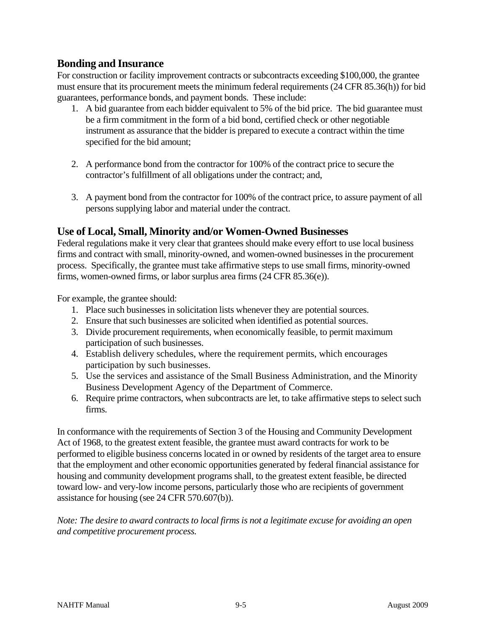### **Bonding and Insurance**

For construction or facility improvement contracts or subcontracts exceeding \$100,000, the grantee must ensure that its procurement meets the minimum federal requirements (24 CFR 85.36(h)) for bid guarantees, performance bonds, and payment bonds. These include:

- 1. A bid guarantee from each bidder equivalent to 5% of the bid price. The bid guarantee must be a firm commitment in the form of a bid bond, certified check or other negotiable instrument as assurance that the bidder is prepared to execute a contract within the time specified for the bid amount;
- 2. A performance bond from the contractor for 100% of the contract price to secure the contractor's fulfillment of all obligations under the contract; and,
- 3. A payment bond from the contractor for 100% of the contract price, to assure payment of all persons supplying labor and material under the contract.

### **Use of Local, Small, Minority and/or Women-Owned Businesses**

Federal regulations make it very clear that grantees should make every effort to use local business firms and contract with small, minority-owned, and women-owned businesses in the procurement process. Specifically, the grantee must take affirmative steps to use small firms, minority-owned firms, women-owned firms, or labor surplus area firms (24 CFR 85.36(e)).

For example, the grantee should:

- 1. Place such businesses in solicitation lists whenever they are potential sources.
- 2. Ensure that such businesses are solicited when identified as potential sources.
- 3. Divide procurement requirements, when economically feasible, to permit maximum participation of such businesses.
- 4. Establish delivery schedules, where the requirement permits, which encourages participation by such businesses.
- 5. Use the services and assistance of the Small Business Administration, and the Minority Business Development Agency of the Department of Commerce.
- 6. Require prime contractors, when subcontracts are let, to take affirmative steps to select such firms.

In conformance with the requirements of Section 3 of the Housing and Community Development Act of 1968, to the greatest extent feasible, the grantee must award contracts for work to be performed to eligible business concerns located in or owned by residents of the target area to ensure that the employment and other economic opportunities generated by federal financial assistance for housing and community development programs shall, to the greatest extent feasible, be directed toward low- and very-low income persons, particularly those who are recipients of government assistance for housing (see 24 CFR 570.607(b)).

*Note: The desire to award contracts to local firms is not a legitimate excuse for avoiding an open and competitive procurement process.*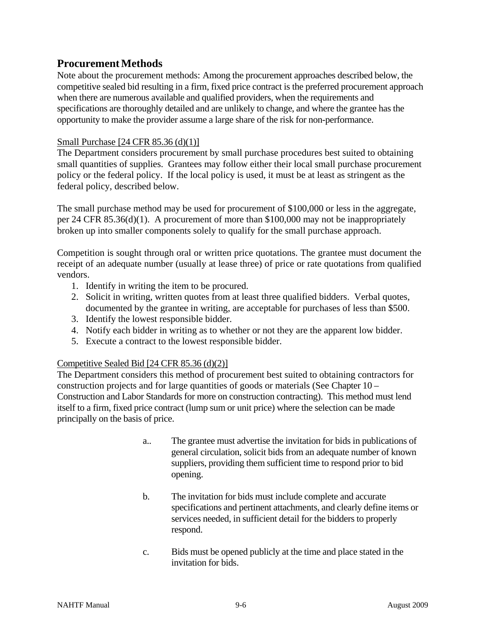### **Procurement Methods**

Note about the procurement methods: Among the procurement approaches described below, the competitive sealed bid resulting in a firm, fixed price contract is the preferred procurement approach when there are numerous available and qualified providers, when the requirements and specifications are thoroughly detailed and are unlikely to change, and where the grantee has the opportunity to make the provider assume a large share of the risk for non-performance.

### Small Purchase [24 CFR 85.36 (d)(1)]

The Department considers procurement by small purchase procedures best suited to obtaining small quantities of supplies. Grantees may follow either their local small purchase procurement policy or the federal policy. If the local policy is used, it must be at least as stringent as the federal policy, described below.

The small purchase method may be used for procurement of \$100,000 or less in the aggregate, per 24 CFR 85.36(d)(1). A procurement of more than \$100,000 may not be inappropriately broken up into smaller components solely to qualify for the small purchase approach.

Competition is sought through oral or written price quotations. The grantee must document the receipt of an adequate number (usually at lease three) of price or rate quotations from qualified vendors.

- 1. Identify in writing the item to be procured.
- 2. Solicit in writing, written quotes from at least three qualified bidders. Verbal quotes, documented by the grantee in writing, are acceptable for purchases of less than \$500.
- 3. Identify the lowest responsible bidder.
- 4. Notify each bidder in writing as to whether or not they are the apparent low bidder.
- 5. Execute a contract to the lowest responsible bidder.

### Competitive Sealed Bid [24 CFR 85.36 (d)(2)]

The Department considers this method of procurement best suited to obtaining contractors for construction projects and for large quantities of goods or materials (See Chapter 10 – Construction and Labor Standards for more on construction contracting). This method must lend itself to a firm, fixed price contract (lump sum or unit price) where the selection can be made principally on the basis of price.

- a.. The grantee must advertise the invitation for bids in publications of general circulation, solicit bids from an adequate number of known suppliers, providing them sufficient time to respond prior to bid opening.
- b. The invitation for bids must include complete and accurate specifications and pertinent attachments, and clearly define items or services needed, in sufficient detail for the bidders to properly respond.
- c. Bids must be opened publicly at the time and place stated in the invitation for bids.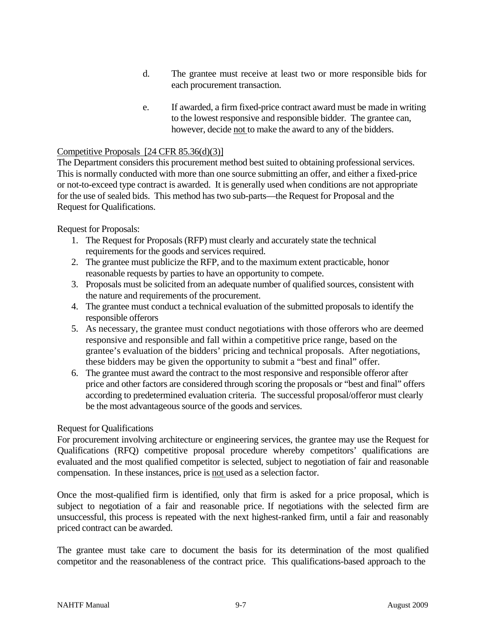- d. The grantee must receive at least two or more responsible bids for each procurement transaction.
- e. If awarded, a firm fixed-price contract award must be made in writing to the lowest responsive and responsible bidder. The grantee can, however, decide not to make the award to any of the bidders.

#### Competitive Proposals [24 CFR 85.36(d)(3)]

The Department considers this procurement method best suited to obtaining professional services. This is normally conducted with more than one source submitting an offer, and either a fixed-price or not-to-exceed type contract is awarded. It is generally used when conditions are not appropriate for the use of sealed bids. This method has two sub-parts—the Request for Proposal and the Request for Qualifications.

Request for Proposals:

- 1. The Request for Proposals (RFP) must clearly and accurately state the technical requirements for the goods and services required.
- 2. The grantee must publicize the RFP, and to the maximum extent practicable, honor reasonable requests by parties to have an opportunity to compete.
- 3. Proposals must be solicited from an adequate number of qualified sources, consistent with the nature and requirements of the procurement.
- 4. The grantee must conduct a technical evaluation of the submitted proposals to identify the responsible offerors
- 5. As necessary, the grantee must conduct negotiations with those offerors who are deemed responsive and responsible and fall within a competitive price range, based on the grantee's evaluation of the bidders' pricing and technical proposals. After negotiations, these bidders may be given the opportunity to submit a "best and final" offer.
- 6. The grantee must award the contract to the most responsive and responsible offeror after price and other factors are considered through scoring the proposals or "best and final" offers according to predetermined evaluation criteria. The successful proposal/offeror must clearly be the most advantageous source of the goods and services.

#### Request for Qualifications

For procurement involving architecture or engineering services, the grantee may use the Request for Qualifications (RFQ) competitive proposal procedure whereby competitors' qualifications are evaluated and the most qualified competitor is selected, subject to negotiation of fair and reasonable compensation. In these instances, price is not used as a selection factor.

Once the most-qualified firm is identified, only that firm is asked for a price proposal, which is subject to negotiation of a fair and reasonable price. If negotiations with the selected firm are unsuccessful, this process is repeated with the next highest-ranked firm, until a fair and reasonably priced contract can be awarded.

The grantee must take care to document the basis for its determination of the most qualified competitor and the reasonableness of the contract price. This qualifications-based approach to the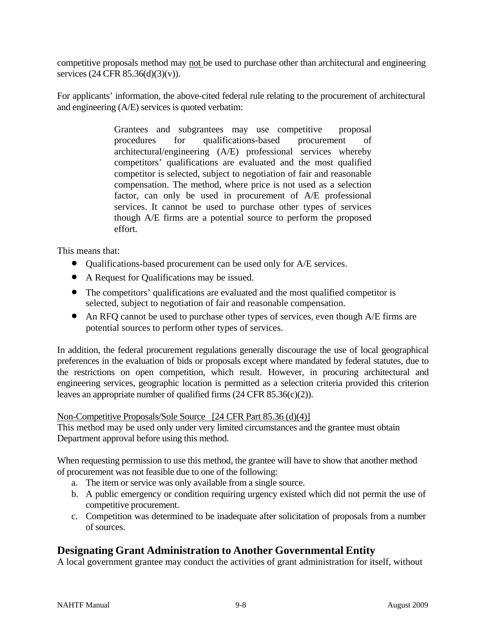competitive proposals method may not be used to purchase other than architectural and engineering services (24 CFR 85.36(d)(3)(v)).

For applicants' information, the above-cited federal rule relating to the procurement of architectural and engineering (A/E) services is quoted verbatim:

> Grantees and subgrantees may use competitive proposal procedures for qualifications-based procurement of architectural/engineering (A/E) professional services whereby competitors' qualifications are evaluated and the most qualified competitor is selected, subject to negotiation of fair and reasonable compensation. The method, where price is not used as a selection factor, can only be used in procurement of A/E professional services. It cannot be used to purchase other types of services though A/E firms are a potential source to perform the proposed effort.

This means that:

- Qualifications-based procurement can be used only for A/E services.
- A Request for Qualifications may be issued.
- The competitors' qualifications are evaluated and the most qualified competitor is selected, subject to negotiation of fair and reasonable compensation.
- An RFQ cannot be used to purchase other types of services, even though A/E firms are potential sources to perform other types of services.

In addition, the federal procurement regulations generally discourage the use of local geographical preferences in the evaluation of bids or proposals except where mandated by federal statutes, due to the restrictions on open competition, which result. However, in procuring architectural and engineering services, geographic location is permitted as a selection criteria provided this criterion leaves an appropriate number of qualified firms (24 CFR 85.36(c)(2)).

### Non-Competitive Proposals/Sole Source [24 CFR Part 85.36 (d)(4)]

This method may be used only under very limited circumstances and the grantee must obtain Department approval before using this method.

When requesting permission to use this method, the grantee will have to show that another method of procurement was not feasible due to one of the following:

- a. The item or service was only available from a single source.
- b. A public emergency or condition requiring urgency existed which did not permit the use of competitive procurement.
- c. Competition was determined to be inadequate after solicitation of proposals from a number of sources.

# **Designating Grant Administration to Another Governmental Entity**

A local government grantee may conduct the activities of grant administration for itself, without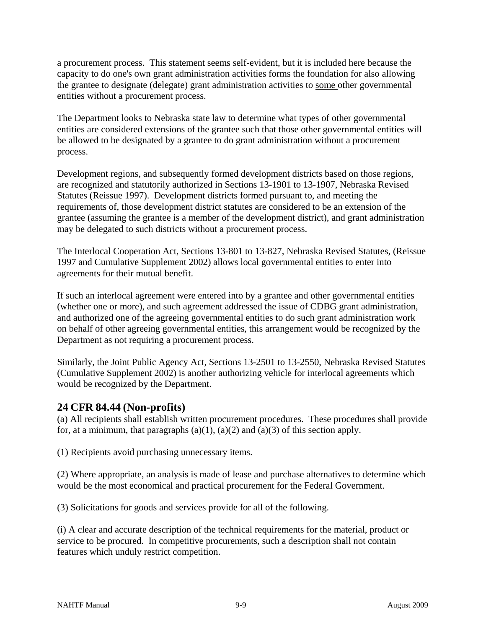a procurement process. This statement seems self-evident, but it is included here because the capacity to do one's own grant administration activities forms the foundation for also allowing the grantee to designate (delegate) grant administration activities to some other governmental entities without a procurement process.

The Department looks to Nebraska state law to determine what types of other governmental entities are considered extensions of the grantee such that those other governmental entities will be allowed to be designated by a grantee to do grant administration without a procurement process.

Development regions, and subsequently formed development districts based on those regions, are recognized and statutorily authorized in Sections 13-1901 to 13-1907, Nebraska Revised Statutes (Reissue 1997). Development districts formed pursuant to, and meeting the requirements of, those development district statutes are considered to be an extension of the grantee (assuming the grantee is a member of the development district), and grant administration may be delegated to such districts without a procurement process.

The Interlocal Cooperation Act, Sections 13-801 to 13-827, Nebraska Revised Statutes, (Reissue 1997 and Cumulative Supplement 2002) allows local governmental entities to enter into agreements for their mutual benefit.

If such an interlocal agreement were entered into by a grantee and other governmental entities (whether one or more), and such agreement addressed the issue of CDBG grant administration, and authorized one of the agreeing governmental entities to do such grant administration work on behalf of other agreeing governmental entities, this arrangement would be recognized by the Department as not requiring a procurement process.

Similarly, the Joint Public Agency Act, Sections 13-2501 to 13-2550, Nebraska Revised Statutes (Cumulative Supplement 2002) is another authorizing vehicle for interlocal agreements which would be recognized by the Department.

# **24 CFR 84.44 (Non-profits)**

(a) All recipients shall establish written procurement procedures. These procedures shall provide for, at a minimum, that paragraphs  $(a)(1)$ ,  $(a)(2)$  and  $(a)(3)$  of this section apply.

(1) Recipients avoid purchasing unnecessary items.

(2) Where appropriate, an analysis is made of lease and purchase alternatives to determine which would be the most economical and practical procurement for the Federal Government.

(3) Solicitations for goods and services provide for all of the following.

(i) A clear and accurate description of the technical requirements for the material, product or service to be procured. In competitive procurements, such a description shall not contain features which unduly restrict competition.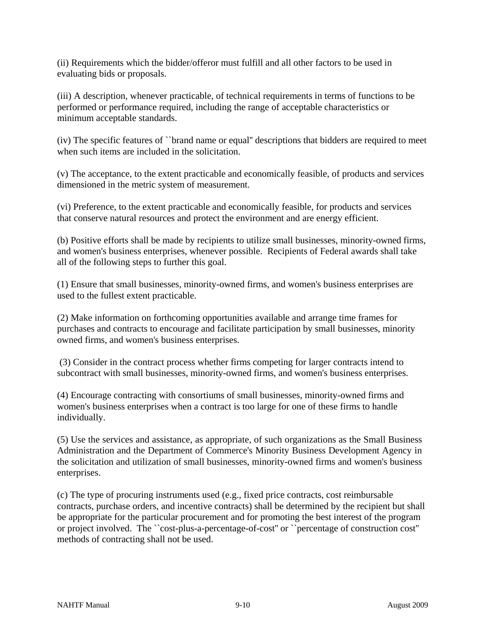(ii) Requirements which the bidder/offeror must fulfill and all other factors to be used in evaluating bids or proposals.

(iii) A description, whenever practicable, of technical requirements in terms of functions to be performed or performance required, including the range of acceptable characteristics or minimum acceptable standards.

(iv) The specific features of ``brand name or equal'' descriptions that bidders are required to meet when such items are included in the solicitation.

(v) The acceptance, to the extent practicable and economically feasible, of products and services dimensioned in the metric system of measurement.

(vi) Preference, to the extent practicable and economically feasible, for products and services that conserve natural resources and protect the environment and are energy efficient.

(b) Positive efforts shall be made by recipients to utilize small businesses, minority-owned firms, and women's business enterprises, whenever possible. Recipients of Federal awards shall take all of the following steps to further this goal.

(1) Ensure that small businesses, minority-owned firms, and women's business enterprises are used to the fullest extent practicable.

(2) Make information on forthcoming opportunities available and arrange time frames for purchases and contracts to encourage and facilitate participation by small businesses, minority owned firms, and women's business enterprises.

(3) Consider in the contract process whether firms competing for larger contracts intend to subcontract with small businesses, minority-owned firms, and women's business enterprises.

(4) Encourage contracting with consortiums of small businesses, minority-owned firms and women's business enterprises when a contract is too large for one of these firms to handle individually.

(5) Use the services and assistance, as appropriate, of such organizations as the Small Business Administration and the Department of Commerce's Minority Business Development Agency in the solicitation and utilization of small businesses, minority-owned firms and women's business enterprises.

(c) The type of procuring instruments used (e.g., fixed price contracts, cost reimbursable contracts, purchase orders, and incentive contracts) shall be determined by the recipient but shall be appropriate for the particular procurement and for promoting the best interest of the program or project involved. The ``cost-plus-a-percentage-of-cost'' or ``percentage of construction cost'' methods of contracting shall not be used.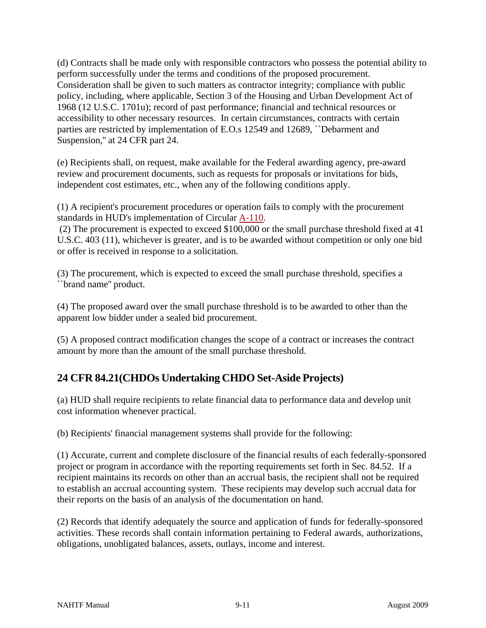(d) Contracts shall be made only with responsible contractors who possess the potential ability to perform successfully under the terms and conditions of the proposed procurement. Consideration shall be given to such matters as contractor integrity; compliance with public policy, including, where applicable, Section 3 of the Housing and Urban Development Act of 1968 (12 U.S.C. 1701u); record of past performance; financial and technical resources or accessibility to other necessary resources. In certain circumstances, contracts with certain parties are restricted by implementation of E.O.s 12549 and 12689, ``Debarment and Suspension," at 24 CFR part 24.

(e) Recipients shall, on request, make available for the Federal awarding agency, pre-award review and procurement documents, such as requests for proposals or invitations for bids, independent cost estimates, etc., when any of the following conditions apply.

(1) A recipient's procurement procedures or operation fails to comply with the procurement standards in HUD's implementation of Circular A-110.

(2) The procurement is expected to exceed \$100,000 or the small purchase threshold fixed at 41 U.S.C. 403 (11), whichever is greater, and is to be awarded without competition or only one bid or offer is received in response to a solicitation.

(3) The procurement, which is expected to exceed the small purchase threshold, specifies a ``brand name'' product.

(4) The proposed award over the small purchase threshold is to be awarded to other than the apparent low bidder under a sealed bid procurement.

(5) A proposed contract modification changes the scope of a contract or increases the contract amount by more than the amount of the small purchase threshold.

# **24 CFR 84.21(CHDOs Undertaking CHDO Set-Aside Projects)**

(a) HUD shall require recipients to relate financial data to performance data and develop unit cost information whenever practical.

(b) Recipients' financial management systems shall provide for the following:

(1) Accurate, current and complete disclosure of the financial results of each federally-sponsored project or program in accordance with the reporting requirements set forth in Sec. 84.52. If a recipient maintains its records on other than an accrual basis, the recipient shall not be required to establish an accrual accounting system. These recipients may develop such accrual data for their reports on the basis of an analysis of the documentation on hand.

(2) Records that identify adequately the source and application of funds for federally-sponsored activities. These records shall contain information pertaining to Federal awards, authorizations, obligations, unobligated balances, assets, outlays, income and interest.